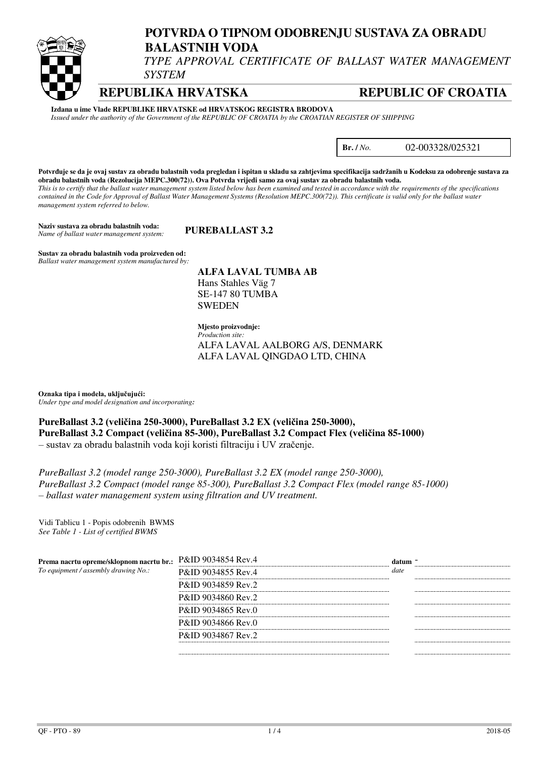

# **POTVRDA O TIPNOM ODOBRENJU SUSTAVA ZA OBRADU BALASTNIH VODA**

*TYPE APPROVAL CERTIFICATE OF BALLAST WATER MANAGEMENT SYSTEM* 

**REPUBLIKA HRVATSKA REPUBLIC OF CROATIA**

**Izdana u ime Vlade REPUBLIKE HRVATSKE od HRVATSKOG REGISTRA BRODOVA** *Issued under the authority of the Government of the REPUBLIC OF CROATIA by the CROATIAN REGISTER OF SHIPPING* 

**Br. /** *No.* 02-003328/025321

**Potvrđuje se da je ovaj sustav za obradu balastnih voda pregledan i ispitan u skladu sa zahtjevima specifikacija sadržanih u Kodeksu za odobrenje sustava za obradu balastnih voda (Rezolucija MEPC.300(72)). Ova Potvrda vrijedi samo za ovaj sustav za obradu balastnih voda.**  *This is to certify that the ballast water management system listed below has been examined and tested in accordance with the requirements of the specifications contained in the Code for Approval of Ballast Water Management Systems (Resolution MEPC.300(72)). This certificate is valid only for the ballast water management system referred to below.* 

**Naziv sustava za obradu balastnih voda: PUREBALLAST 3.2** *Name of ballast water management system:*

**Sustav za obradu balastnih voda proizveden od:**  *Ballast water management system manufactured by:*

**ALFA LAVAL TUMBA AB**  Hans Stahles Väg 7 SE-147 80 TUMBA SWEDEN

**Mjesto proizvodnje:**  *Production site:*  ALFA LAVAL AALBORG A/S, DENMARK ALFA LAVAL QINGDAO LTD, CHINA

**Oznaka tipa i modela, uključujući:** *Under type and model designation and incorporating:* 

**PureBallast 3.2 (veličina 250-3000), PureBallast 3.2 EX (veličina 250-3000), PureBallast 3.2 Compact (veličina 85-300), PureBallast 3.2 Compact Flex (veličina 85-1000)**  – sustav za obradu balastnih voda koji koristi filtraciju i UV zračenje.

*PureBallast 3.2 (model range 250-3000), PureBallast 3.2 EX (model range 250-3000), PureBallast 3.2 Compact (model range 85-300), PureBallast 3.2 Compact Flex (model range 85-1000) – ballast water management system using filtration and UV treatment.* 

Vidi Tablicu 1 - Popis odobrenih BWMS *See Table 1 - List of certified BWMS*

| Prema nacrtu opreme/sklopnom nacrtu br.:<br>To equipment / assembly drawing No.: | P&ID 9034854 Rev.4            | datum |  |
|----------------------------------------------------------------------------------|-------------------------------|-------|--|
|                                                                                  | P&ID 9034855 Rev.4            | date  |  |
|                                                                                  | P&ID 9034859 Rev.2            |       |  |
|                                                                                  | P&ID 9034860 Rev.2            |       |  |
|                                                                                  | P&ID 9034865 Rev.0            |       |  |
|                                                                                  | P&ID 9034866 Rev.0            |       |  |
|                                                                                  | <b>P&amp;ID 9034867 Rev.2</b> |       |  |
|                                                                                  |                               |       |  |
|                                                                                  |                               |       |  |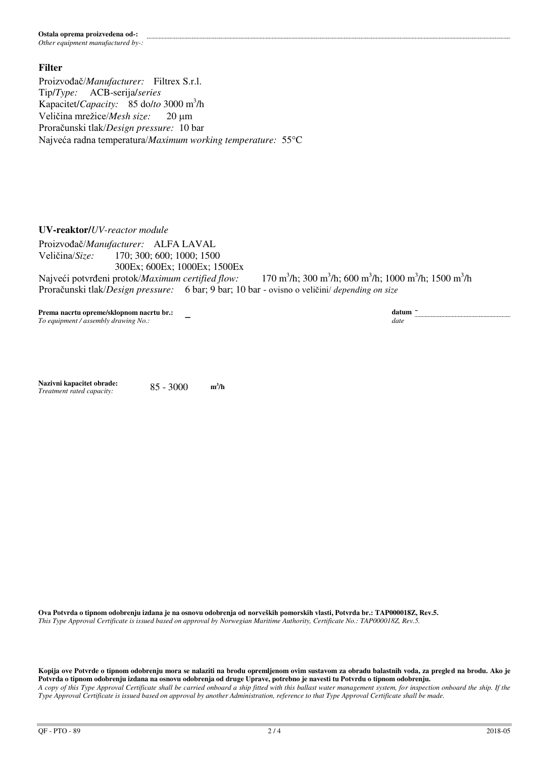#### **Ostala oprema proizvedena od-:**  *Other equipment manufactured by-:*

**Filter** 

Proizvođač/*Manufacturer:* Filtrex S.r.l. Tip/*Type:* ACB-serija/*series* Kapacitet/*Capacity:* 85 do/*to* 3000 m<sup>3</sup> /h Veličina mrežice/*Mesh size*: 20 um Proračunski tlak/*Design pressure:* 10 bar Najveća radna temperatura/*Maximum working temperature:* 55C

 $\overline{a}$ 

**UV-reaktor/***UV-reactor module*

Proizvođač/*Manufacturer:* ALFA LAVAL Veličina/*Size:* 170; 300; 600; 1000; 1500 300Ex; 600Ex; 1000Ex; 1500Ex Najveći potvrđeni protok/*Maximum certified flow:* /h; 300 m<sup>3</sup>/h; 600 m<sup>3</sup>/h; 1000 m<sup>3</sup>/h; 1500 m<sup>3</sup>/h Proračunski tlak/*Design pressure:* 6 bar; 9 bar; 10 bar - ovisno o veličini/ *depending on size*

**datum**  $\frac{d}{dt}$ 

**Prema nacrtu opreme/sklopnom nacrtu br.:**  To equipment / assembly drawing No.:

**Nazivni kapacitet obrade:** 85 - 3000 **<sup>m</sup>**  $m^3/h$  $Treatment\ rated\ capacity:$ 

**Ova Potvrda o tipnom odobrenju izdana je na osnovu odobrenja od norveških pomorskih vlasti, Potvrda br.: TAP000018Z, Rev.5.**  *This Type Approval Certificate is issued based on approval by Norwegian Maritime Authority, Certificate No.: TAP000018Z, Rev.5.*

**Kopija ove Potvrde o tipnom odobrenju mora se nalaziti na brodu opremljenom ovim sustavom za obradu balastnih voda, za pregled na brodu. Ako je Potvrda o tipnom odobrenju izdana na osnovu odobrenja od druge Uprave, potrebno je navesti tu Potvrdu o tipnom odobrenju.**  *A copy of this Type Approval Certificate shall be carried onboard a ship fitted with this ballast water management system, for inspection onboard the ship. If the Type Approval Certificate is issued based on approval by another Administration, reference to that Type Approval Certificate shall be made.*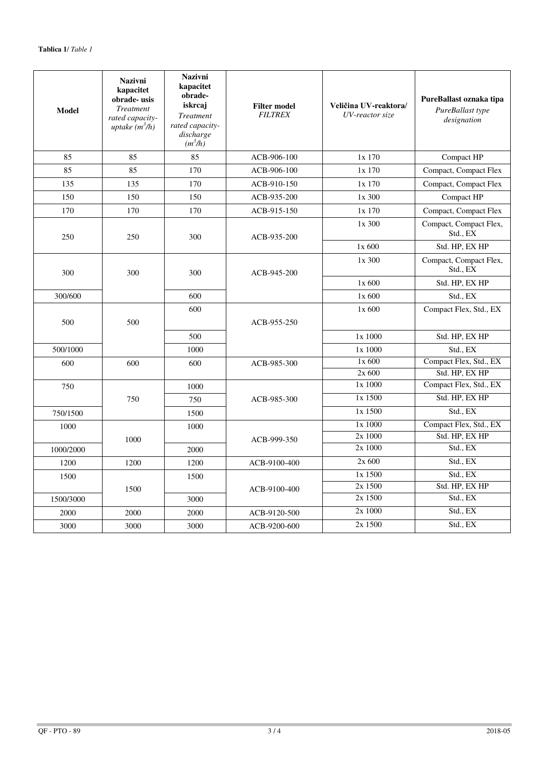| Model     | <b>Nazivni</b><br>kapacitet<br>obrade-usis<br><b>Treatment</b><br>rated capacity-<br>uptake $(m^3/h)$ | <b>Nazivni</b><br>kapacitet<br>obrade-<br>iskrcaj<br><b>Treatment</b><br>rated capacity-<br>discharge<br>$(m^3/h)$ | <b>Filter model</b><br><b>FILTREX</b> | Veličina UV-reaktora/<br>UV-reactor size | PureBallast oznaka tipa<br>PureBallast type<br>designation |
|-----------|-------------------------------------------------------------------------------------------------------|--------------------------------------------------------------------------------------------------------------------|---------------------------------------|------------------------------------------|------------------------------------------------------------|
| 85        | 85                                                                                                    | 85                                                                                                                 | ACB-906-100                           | 1x 170                                   | Compact HP                                                 |
| 85        | 85                                                                                                    | 170                                                                                                                | ACB-906-100                           | 1x 170                                   | Compact, Compact Flex                                      |
| 135       | 135                                                                                                   | 170                                                                                                                | ACB-910-150                           | 1x 170                                   | Compact, Compact Flex                                      |
| 150       | 150                                                                                                   | 150                                                                                                                | ACB-935-200                           | 1x 300                                   | Compact HP                                                 |
| 170       | 170                                                                                                   | 170                                                                                                                | ACB-915-150                           | 1x170                                    | Compact, Compact Flex                                      |
| 250       | 250                                                                                                   | 300                                                                                                                | ACB-935-200                           | 1x300                                    | Compact, Compact Flex,<br>Std., EX                         |
|           |                                                                                                       |                                                                                                                    |                                       | 1x 600                                   | Std. HP, EX HP                                             |
| 300       | 300                                                                                                   | 300                                                                                                                | ACB-945-200                           | 1x300                                    | Compact, Compact Flex,<br>Std., EX                         |
|           |                                                                                                       |                                                                                                                    |                                       | 1x 600                                   | Std. HP, EX HP                                             |
| 300/600   |                                                                                                       | 600                                                                                                                |                                       | $1x$ 600                                 | Std., EX                                                   |
| 500       | 500                                                                                                   | 600                                                                                                                | ACB-955-250                           | $1x$ 600                                 | Compact Flex, Std., EX                                     |
|           |                                                                                                       | 500                                                                                                                |                                       | 1x 1000                                  | Std. HP, EX HP                                             |
| 500/1000  |                                                                                                       | 1000                                                                                                               |                                       | 1x 1000                                  |                                                            |
|           |                                                                                                       |                                                                                                                    |                                       | $1x$ 600                                 | Std., EX<br>Compact Flex, Std., EX                         |
| 600       | 600                                                                                                   | 600                                                                                                                | ACB-985-300                           | 2x 600                                   | Std. HP, EX HP                                             |
| 750       |                                                                                                       | 1000                                                                                                               |                                       | 1x 1000                                  | Compact Flex, Std., EX                                     |
|           | 750                                                                                                   | 750                                                                                                                | ACB-985-300                           | 1x 1500                                  | Std. HP, EX HP                                             |
| 750/1500  |                                                                                                       | 1500                                                                                                               |                                       | 1x 1500                                  | Std., EX                                                   |
| 1000      |                                                                                                       | 1000                                                                                                               |                                       | 1x 1000                                  | Compact Flex, Std., EX                                     |
|           | 1000                                                                                                  |                                                                                                                    | ACB-999-350                           | 2x 1000                                  | Std. HP, EX HP                                             |
| 1000/2000 |                                                                                                       | 2000                                                                                                               |                                       | 2x 1000                                  | Std., EX                                                   |
| 1200      | 1200                                                                                                  | 1200                                                                                                               | ACB-9100-400                          | 2x 600                                   | Std., EX                                                   |
| 1500      |                                                                                                       | 1500                                                                                                               |                                       | 1x 1500                                  | Std., EX                                                   |
|           | 1500                                                                                                  |                                                                                                                    | ACB-9100-400                          | 2x 1500                                  | Std. HP, EX HP                                             |
| 1500/3000 |                                                                                                       | 3000                                                                                                               |                                       | 2x 1500                                  | Std., EX                                                   |
| 2000      | 2000                                                                                                  | 2000                                                                                                               | ACB-9120-500                          | 2x 1000                                  | Std., EX                                                   |
| 3000      | 3000                                                                                                  | 3000                                                                                                               | ACB-9200-600                          | 2x 1500                                  | Std., EX                                                   |